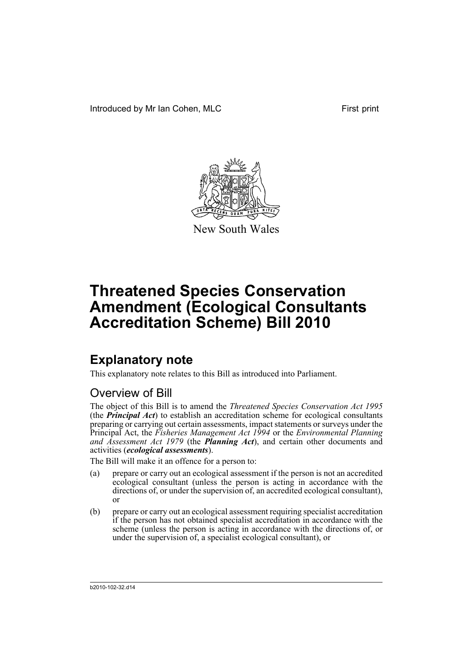

New South Wales

# **Explanatory note**

This explanatory note relates to this Bill as introduced into Parliament.

# Overview of Bill

The object of this Bill is to amend the *Threatened Species Conservation Act 1995* (the *Principal Act*) to establish an accreditation scheme for ecological consultants preparing or carrying out certain assessments, impact statements or surveys under the Principal Act, the *Fisheries Management Act 1994* or the *Environmental Planning and Assessment Act 1979* (the *Planning Act*), and certain other documents and activities (*ecological assessments*).

The Bill will make it an offence for a person to:

- (a) prepare or carry out an ecological assessment if the person is not an accredited ecological consultant (unless the person is acting in accordance with the directions of, or under the supervision of, an accredited ecological consultant), or
- (b) prepare or carry out an ecological assessment requiring specialist accreditation if the person has not obtained specialist accreditation in accordance with the scheme (unless the person is acting in accordance with the directions of, or under the supervision of, a specialist ecological consultant), or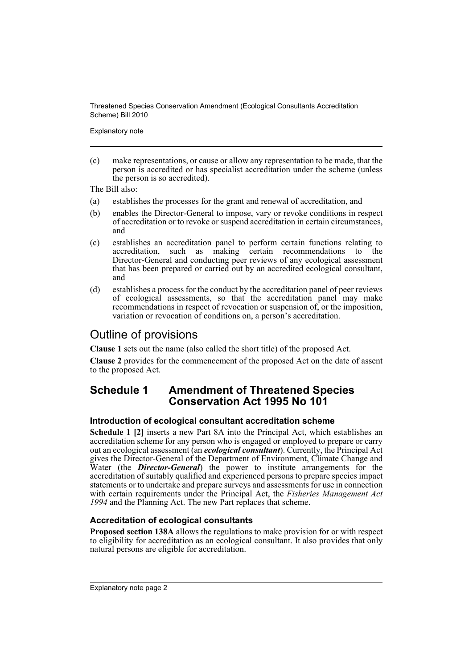Explanatory note

(c) make representations, or cause or allow any representation to be made, that the person is accredited or has specialist accreditation under the scheme (unless the person is so accredited).

The Bill also:

- (a) establishes the processes for the grant and renewal of accreditation, and
- (b) enables the Director-General to impose, vary or revoke conditions in respect of accreditation or to revoke or suspend accreditation in certain circumstances, and
- (c) establishes an accreditation panel to perform certain functions relating to accreditation, such as making certain recommendations to the Director-General and conducting peer reviews of any ecological assessment that has been prepared or carried out by an accredited ecological consultant, and
- (d) establishes a process for the conduct by the accreditation panel of peer reviews of ecological assessments, so that the accreditation panel may make recommendations in respect of revocation or suspension of, or the imposition, variation or revocation of conditions on, a person's accreditation.

# Outline of provisions

**Clause 1** sets out the name (also called the short title) of the proposed Act.

**Clause 2** provides for the commencement of the proposed Act on the date of assent to the proposed Act.

# **Schedule 1 Amendment of Threatened Species Conservation Act 1995 No 101**

## **Introduction of ecological consultant accreditation scheme**

**Schedule 1 [2]** inserts a new Part 8A into the Principal Act, which establishes an accreditation scheme for any person who is engaged or employed to prepare or carry out an ecological assessment (an *ecological consultant*). Currently, the Principal Act gives the Director-General of the Department of Environment, Climate Change and Water (the *Director-General*) the power to institute arrangements for the accreditation of suitably qualified and experienced persons to prepare species impact statements or to undertake and prepare surveys and assessments for use in connection with certain requirements under the Principal Act, the *Fisheries Management Act 1994* and the Planning Act. The new Part replaces that scheme.

## **Accreditation of ecological consultants**

**Proposed section 138A** allows the regulations to make provision for or with respect to eligibility for accreditation as an ecological consultant. It also provides that only natural persons are eligible for accreditation.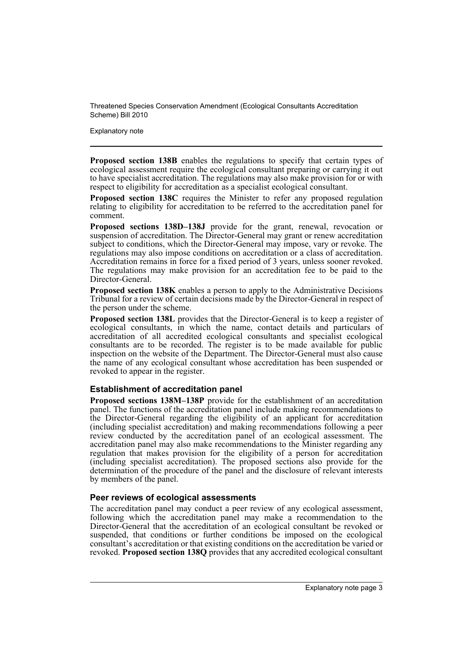Explanatory note

**Proposed section 138B** enables the regulations to specify that certain types of ecological assessment require the ecological consultant preparing or carrying it out to have specialist accreditation. The regulations may also make provision for or with respect to eligibility for accreditation as a specialist ecological consultant.

**Proposed section 138C** requires the Minister to refer any proposed regulation relating to eligibility for accreditation to be referred to the accreditation panel for comment.

**Proposed sections 138D–138J** provide for the grant, renewal, revocation or suspension of accreditation. The Director-General may grant or renew accreditation subject to conditions, which the Director-General may impose, vary or revoke. The regulations may also impose conditions on accreditation or a class of accreditation. Accreditation remains in force for a fixed period of 3 years, unless sooner revoked. The regulations may make provision for an accreditation fee to be paid to the Director-General.

**Proposed section 138K** enables a person to apply to the Administrative Decisions Tribunal for a review of certain decisions made by the Director-General in respect of the person under the scheme.

**Proposed section 138L** provides that the Director-General is to keep a register of ecological consultants, in which the name, contact details and particulars of accreditation of all accredited ecological consultants and specialist ecological consultants are to be recorded. The register is to be made available for public inspection on the website of the Department. The Director-General must also cause the name of any ecological consultant whose accreditation has been suspended or revoked to appear in the register.

## **Establishment of accreditation panel**

**Proposed sections 138M–138P** provide for the establishment of an accreditation panel. The functions of the accreditation panel include making recommendations to the Director-General regarding the eligibility of an applicant for accreditation (including specialist accreditation) and making recommendations following a peer review conducted by the accreditation panel of an ecological assessment. The accreditation panel may also make recommendations to the Minister regarding any regulation that makes provision for the eligibility of a person for accreditation (including specialist accreditation). The proposed sections also provide for the determination of the procedure of the panel and the disclosure of relevant interests by members of the panel.

#### **Peer reviews of ecological assessments**

The accreditation panel may conduct a peer review of any ecological assessment, following which the accreditation panel may make a recommendation to the Director-General that the accreditation of an ecological consultant be revoked or suspended, that conditions or further conditions be imposed on the ecological consultant's accreditation or that existing conditions on the accreditation be varied or revoked. **Proposed section 138Q** provides that any accredited ecological consultant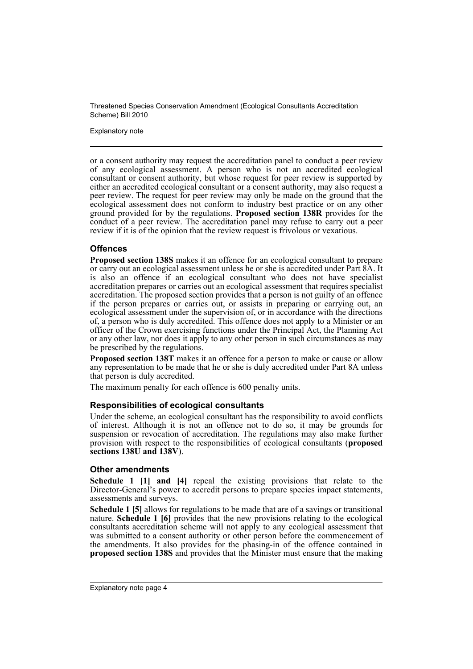Explanatory note

or a consent authority may request the accreditation panel to conduct a peer review of any ecological assessment. A person who is not an accredited ecological consultant or consent authority, but whose request for peer review is supported by either an accredited ecological consultant or a consent authority, may also request a peer review. The request for peer review may only be made on the ground that the ecological assessment does not conform to industry best practice or on any other ground provided for by the regulations. **Proposed section 138R** provides for the conduct of a peer review. The accreditation panel may refuse to carry out a peer review if it is of the opinion that the review request is frivolous or vexatious.

### **Offences**

**Proposed section 138S** makes it an offence for an ecological consultant to prepare or carry out an ecological assessment unless he or she is accredited under Part 8A. It is also an offence if an ecological consultant who does not have specialist accreditation prepares or carries out an ecological assessment that requires specialist accreditation. The proposed section provides that a person is not guilty of an offence if the person prepares or carries out, or assists in preparing or carrying out, an ecological assessment under the supervision of, or in accordance with the directions of, a person who is duly accredited. This offence does not apply to a Minister or an officer of the Crown exercising functions under the Principal Act, the Planning Act or any other law, nor does it apply to any other person in such circumstances as may be prescribed by the regulations.

**Proposed section 138T** makes it an offence for a person to make or cause or allow any representation to be made that he or she is duly accredited under Part 8A unless that person is duly accredited.

The maximum penalty for each offence is 600 penalty units.

#### **Responsibilities of ecological consultants**

Under the scheme, an ecological consultant has the responsibility to avoid conflicts of interest. Although it is not an offence not to do so, it may be grounds for suspension or revocation of accreditation. The regulations may also make further provision with respect to the responsibilities of ecological consultants (**proposed sections 138U and 138V**).

#### **Other amendments**

**Schedule 1 [1] and [4]** repeal the existing provisions that relate to the Director-General's power to accredit persons to prepare species impact statements, assessments and surveys.

**Schedule 1 [5]** allows for regulations to be made that are of a savings or transitional nature. **Schedule 1 [6]** provides that the new provisions relating to the ecological consultants accreditation scheme will not apply to any ecological assessment that was submitted to a consent authority or other person before the commencement of the amendments. It also provides for the phasing-in of the offence contained in **proposed section 138S** and provides that the Minister must ensure that the making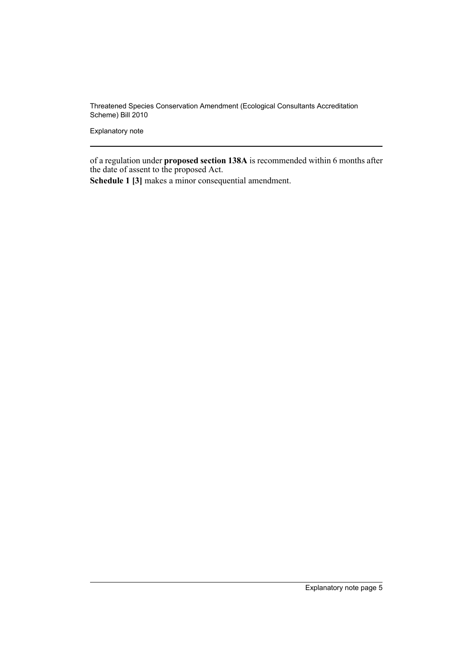Explanatory note

of a regulation under **proposed section 138A** is recommended within 6 months after the date of assent to the proposed Act.

**Schedule 1 [3]** makes a minor consequential amendment.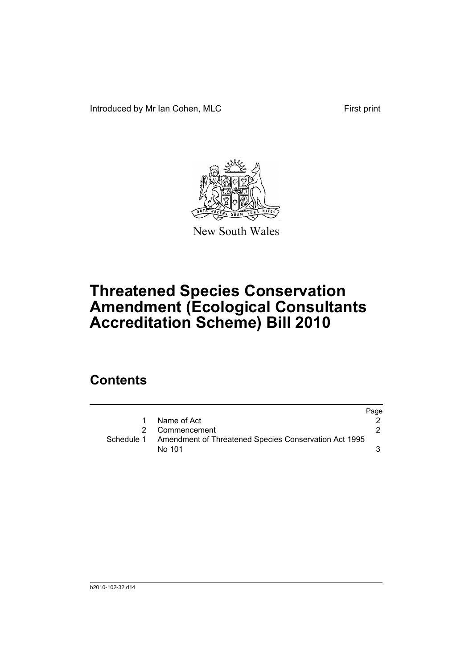Introduced by Mr Ian Cohen, MLC First print



New South Wales

# **Threatened Species Conservation Amendment (Ecological Consultants Accreditation Scheme) Bill 2010**

# **Contents**

|   |                                                                  | Page |
|---|------------------------------------------------------------------|------|
| 1 | Name of Act                                                      |      |
|   | 2 Commencement                                                   |      |
|   | Schedule 1 Amendment of Threatened Species Conservation Act 1995 |      |
|   | No 101                                                           |      |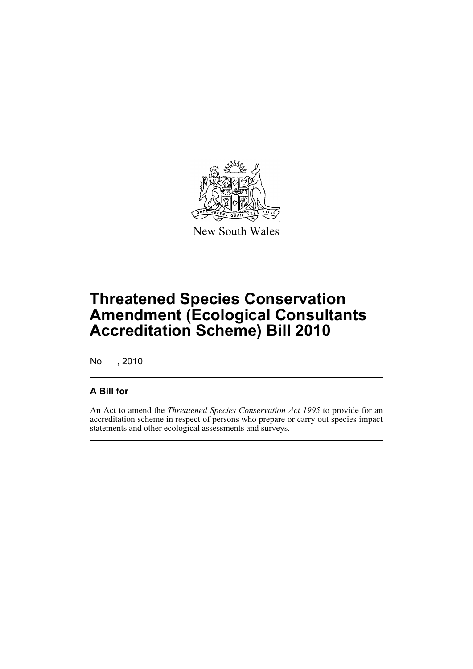

New South Wales

# **Threatened Species Conservation Amendment (Ecological Consultants Accreditation Scheme) Bill 2010**

No , 2010

# **A Bill for**

An Act to amend the *Threatened Species Conservation Act 1995* to provide for an accreditation scheme in respect of persons who prepare or carry out species impact statements and other ecological assessments and surveys.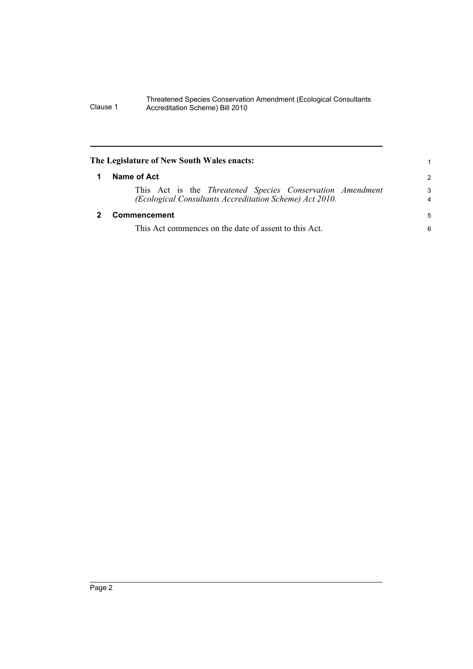<span id="page-9-1"></span><span id="page-9-0"></span>

| The Legislature of New South Wales enacts:                                                                           | 1                   |
|----------------------------------------------------------------------------------------------------------------------|---------------------|
| Name of Act                                                                                                          | $\mathcal{P}$       |
| This Act is the Threatened Species Conservation Amendment<br>(Ecological Consultants Accreditation Scheme) Act 2010. | 3<br>$\overline{4}$ |
| Commencement                                                                                                         | 5                   |
| This Act commences on the date of assent to this Act.                                                                | 6                   |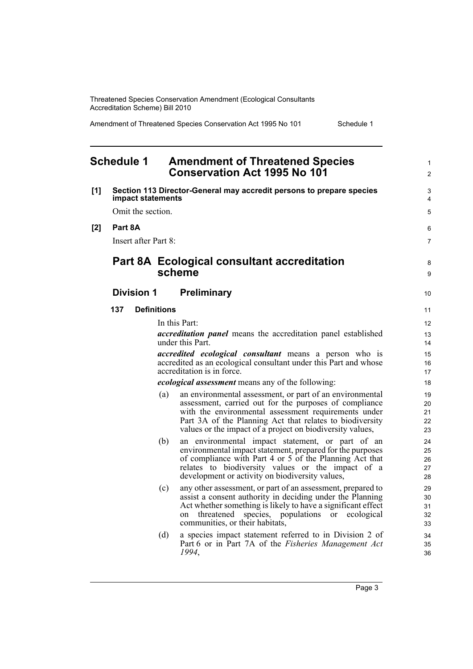Amendment of Threatened Species Conservation Act 1995 No 101 Schedule 1

#### <span id="page-10-0"></span>**Schedule 1 Amendment of Threatened Species Conservation Act 1995 No 101 [1] Section 113 Director-General may accredit persons to prepare species impact statements** Omit the section. **[2] Part 8A** Insert after Part 8: **Part 8A Ecological consultant accreditation scheme Division 1 Preliminary 137 Definitions** In this Part: *accreditation panel* means the accreditation panel established under this Part. *accredited ecological consultant* means a person who is accredited as an ecological consultant under this Part and whose accreditation is in force. *ecological assessment* means any of the following: (a) an environmental assessment, or part of an environmental assessment, carried out for the purposes of compliance with the environmental assessment requirements under Part 3A of the Planning Act that relates to biodiversity values or the impact of a project on biodiversity values, (b) an environmental impact statement, or part of an environmental impact statement, prepared for the purposes of compliance with Part 4 or 5 of the Planning Act that relates to biodiversity values or the impact of a development or activity on biodiversity values, (c) any other assessment, or part of an assessment, prepared to assist a consent authority in deciding under the Planning Act whether something is likely to have a significant effect on threatened species, populations or ecological communities, or their habitats, (d) a species impact statement referred to in Division 2 of Part 6 or in Part 7A of the *Fisheries Management Act 1994*, 1  $\mathfrak{p}$  $\overline{a}$ 4 5 6 7 8 9 10 11 12 13 14 15 16 17 18 19 20 21 22 23  $24$ 25 26 27 28 29 30 31 32 33 34 35 36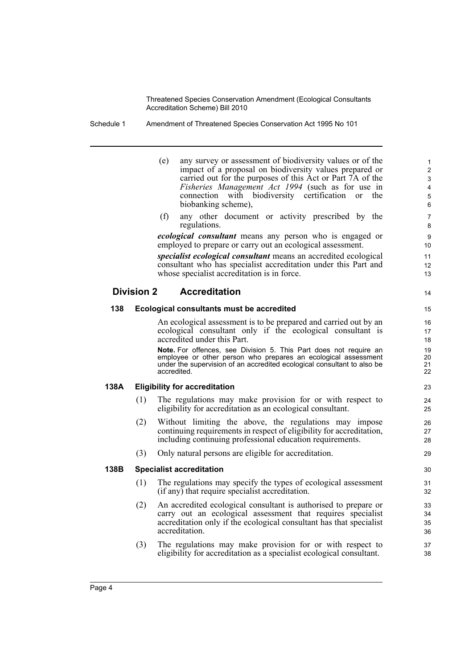Schedule 1 Amendment of Threatened Species Conservation Act 1995 No 101

- (e) any survey or assessment of biodiversity values or of the impact of a proposal on biodiversity values prepared or carried out for the purposes of this Act or Part 7A of the *Fisheries Management Act 1994* (such as for use in connection with biodiversity certification or the biobanking scheme),
- (f) any other document or activity prescribed by the regulations.

*ecological consultant* means any person who is engaged or employed to prepare or carry out an ecological assessment.

*specialist ecological consultant* means an accredited ecological consultant who has specialist accreditation under this Part and whose specialist accreditation is in force.

## **Division 2 Accreditation**

#### **138 Ecological consultants must be accredited**

An ecological assessment is to be prepared and carried out by an ecological consultant only if the ecological consultant is accredited under this Part.

**Note.** For offences, see Division 5. This Part does not require an employee or other person who prepares an ecological assessment under the supervision of an accredited ecological consultant to also be accredited.

#### **138A Eligibility for accreditation**

- (1) The regulations may make provision for or with respect to eligibility for accreditation as an ecological consultant.
- (2) Without limiting the above, the regulations may impose continuing requirements in respect of eligibility for accreditation, including continuing professional education requirements.
- (3) Only natural persons are eligible for accreditation.

#### **138B Specialist accreditation**

- (1) The regulations may specify the types of ecological assessment (if any) that require specialist accreditation.
- (2) An accredited ecological consultant is authorised to prepare or carry out an ecological assessment that requires specialist accreditation only if the ecological consultant has that specialist accreditation.
- (3) The regulations may make provision for or with respect to eligibility for accreditation as a specialist ecological consultant.

28 29

14

30 31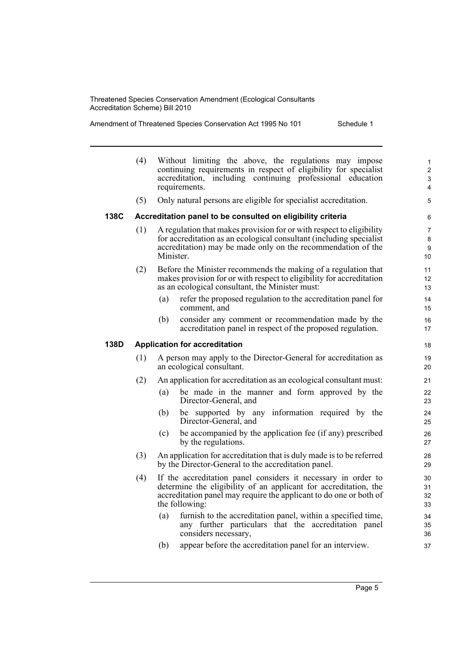|      | (4) | Without limiting the above, the regulations may impose<br>continuing requirements in respect of eligibility for specialist<br>accreditation, including continuing professional education<br>requirements.                 | $\mathbf{1}$<br>$\overline{2}$<br>3<br>4 |
|------|-----|---------------------------------------------------------------------------------------------------------------------------------------------------------------------------------------------------------------------------|------------------------------------------|
|      | (5) | Only natural persons are eligible for specialist accreditation.                                                                                                                                                           | 5                                        |
| 138C |     | Accreditation panel to be consulted on eligibility criteria                                                                                                                                                               | 6                                        |
|      | (1) | A regulation that makes provision for or with respect to eligibility<br>for accreditation as an ecological consultant (including specialist)<br>accreditation) may be made only on the recommendation of the<br>Minister. | 7<br>8<br>9<br>10                        |
|      | (2) | Before the Minister recommends the making of a regulation that<br>makes provision for or with respect to eligibility for accreditation<br>as an ecological consultant, the Minister must:                                 | 11<br>$12 \overline{ }$<br>13            |
|      |     | refer the proposed regulation to the accreditation panel for<br>(a)<br>comment, and                                                                                                                                       | 14<br>15                                 |
|      |     | consider any comment or recommendation made by the<br>(b)<br>accreditation panel in respect of the proposed regulation.                                                                                                   | 16<br>17                                 |
| 138D |     | <b>Application for accreditation</b>                                                                                                                                                                                      | 18                                       |
|      | (1) | A person may apply to the Director-General for accreditation as<br>an ecological consultant.                                                                                                                              | 19<br>20                                 |
|      | (2) | An application for accreditation as an ecological consultant must:                                                                                                                                                        | 21                                       |
|      |     | (a)<br>be made in the manner and form approved by the                                                                                                                                                                     |                                          |
|      |     | Director-General, and                                                                                                                                                                                                     | 22<br>23                                 |
|      |     | be supported by any information required by the<br>(b)<br>Director-General, and                                                                                                                                           | 24<br>25                                 |
|      |     | be accompanied by the application fee (if any) prescribed<br>(c)<br>by the regulations.                                                                                                                                   | 26<br>27                                 |
|      | (3) | An application for accreditation that is duly made is to be referred<br>by the Director-General to the accreditation panel.                                                                                               | 28<br>29                                 |
|      | (4) | If the accreditation panel considers it necessary in order to<br>determine the eligibility of an applicant for accreditation, the<br>accreditation panel may require the applicant to do one or both of<br>the following: | 30<br>31<br>32<br>33                     |
|      |     | furnish to the accreditation panel, within a specified time,<br>(a)<br>any further particulars that the accreditation panel<br>considers necessary,                                                                       | 34<br>35<br>36                           |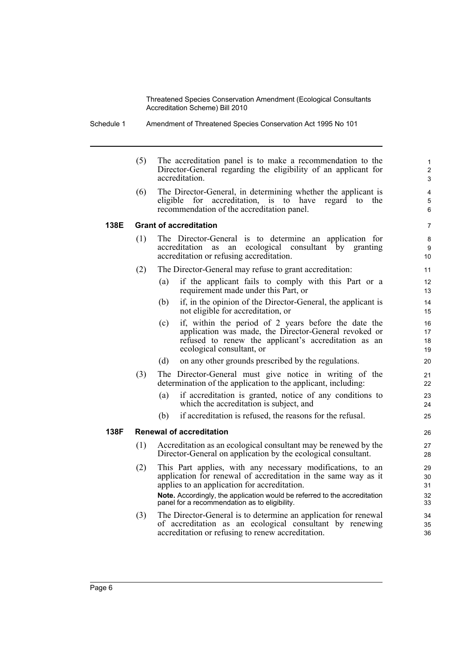Schedule 1 Amendment of Threatened Species Conservation Act 1995 No 101

(5) The accreditation panel is to make a recommendation to the Director-General regarding the eligibility of an applicant for accreditation.

(6) The Director-General, in determining whether the applicant is eligible for accreditation, is to have regard to the recommendation of the accreditation panel.

#### **138E Grant of accreditation**

- (1) The Director-General is to determine an application for accreditation as an ecological consultant by granting accreditation or refusing accreditation.
- (2) The Director-General may refuse to grant accreditation:
	- (a) if the applicant fails to comply with this Part or a requirement made under this Part, or
	- (b) if, in the opinion of the Director-General, the applicant is not eligible for accreditation, or
	- (c) if, within the period of 2 years before the date the application was made, the Director-General revoked or refused to renew the applicant's accreditation as an ecological consultant, or
	- (d) on any other grounds prescribed by the regulations.
- (3) The Director-General must give notice in writing of the determination of the application to the applicant, including:
	- (a) if accreditation is granted, notice of any conditions to which the accreditation is subject, and
	- (b) if accreditation is refused, the reasons for the refusal.

#### **138F Renewal of accreditation**

- (1) Accreditation as an ecological consultant may be renewed by the Director-General on application by the ecological consultant.
- (2) This Part applies, with any necessary modifications, to an application for renewal of accreditation in the same way as it applies to an application for accreditation. **Note.** Accordingly, the application would be referred to the accreditation panel for a recommendation as to eligibility.
- (3) The Director-General is to determine an application for renewal of accreditation as an ecological consultant by renewing accreditation or refusing to renew accreditation.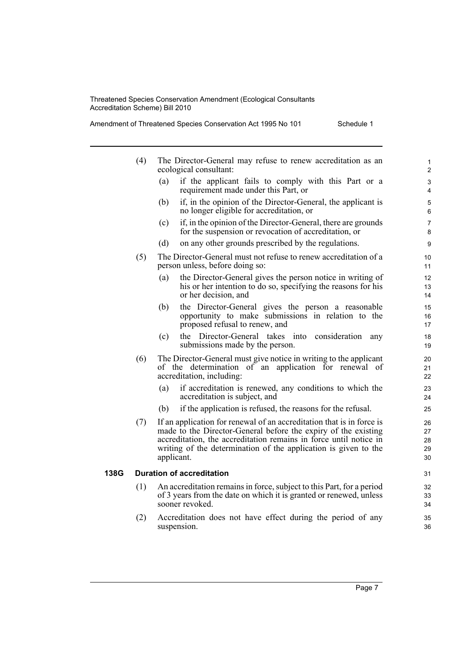Amendment of Threatened Species Conservation Act 1995 No 101 Schedule 1

ecological consultant: (a) if the applicant fails to comply with this Part or a requirement made under this Part, or (b) if, in the opinion of the Director-General, the applicant is no longer eligible for accreditation, or (c) if, in the opinion of the Director-General, there are grounds for the suspension or revocation of accreditation, or (d) on any other grounds prescribed by the regulations. person unless, before doing so: (a) the Director-General gives the person notice in writing of his or her intention to do so, specifying the reasons for his or her decision, and (b) the Director-General gives the person a reasonable opportunity to make submissions in relation to the proposed refusal to renew, and (c) the Director-General takes into consideration any submissions made by the person. of the determination of an application for renewal of accreditation, including: (a) if accreditation is renewed, any conditions to which the accreditation is subject, and (b) if the application is refused, the reasons for the refusal. (7) If an application for renewal of an accreditation that is in force is made to the Director-General before the expiry of the existing accreditation, the accreditation remains in force until notice in writing of the determination of the application is given to the applicant. (1) An accreditation remains in force, subject to this Part, for a period of 3 years from the date on which it is granted or renewed, unless 1  $\overline{2}$  $\overline{a}$ 4 5 6 7 8 9 10 11 12 13 14 15 16 17 18 19 20 21 22 23 24 25 26 27 28 29 30 31 32 33 34

(2) Accreditation does not have effect during the period of any suspension.

35 36

- 
- 
- (4) The Director-General may refuse to renew accreditation as an
- (5) The Director-General must not refuse to renew accreditation of a

(6) The Director-General must give notice in writing to the applicant

- **138G Duration of accreditation**
	- - sooner revoked.
		-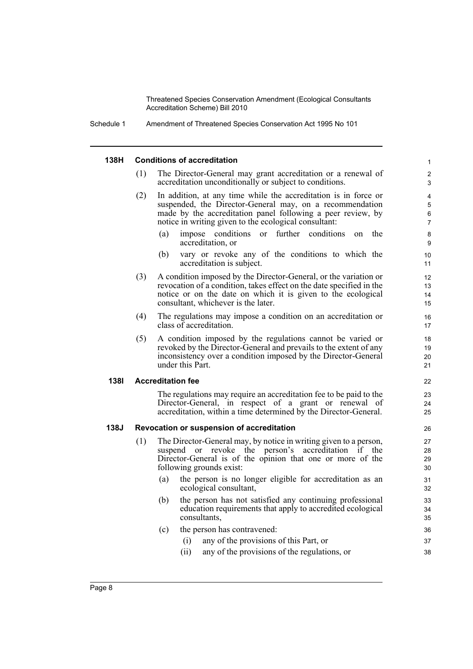Schedule 1 Amendment of Threatened Species Conservation Act 1995 No 101

#### **138H Conditions of accreditation**

- (1) The Director-General may grant accreditation or a renewal of accreditation unconditionally or subject to conditions.
- (2) In addition, at any time while the accreditation is in force or suspended, the Director-General may, on a recommendation made by the accreditation panel following a peer review, by notice in writing given to the ecological consultant:
	- (a) impose conditions or further conditions on the accreditation, or

- (b) vary or revoke any of the conditions to which the accreditation is subject.
- (3) A condition imposed by the Director-General, or the variation or revocation of a condition, takes effect on the date specified in the notice or on the date on which it is given to the ecological consultant, whichever is the later.
- (4) The regulations may impose a condition on an accreditation or class of accreditation.
- (5) A condition imposed by the regulations cannot be varied or revoked by the Director-General and prevails to the extent of any inconsistency over a condition imposed by the Director-General under this Part.

#### **138I Accreditation fee**

The regulations may require an accreditation fee to be paid to the Director-General, in respect of a grant or renewal of accreditation, within a time determined by the Director-General.

#### **138J Revocation or suspension of accreditation**

- (1) The Director-General may, by notice in writing given to a person, suspend or revoke the person's accreditation if the Director-General is of the opinion that one or more of the following grounds exist:
	- (a) the person is no longer eligible for accreditation as an ecological consultant,
	- (b) the person has not satisfied any continuing professional education requirements that apply to accredited ecological consultants,
	- (c) the person has contravened:
		- (i) any of the provisions of this Part, or
		- (ii) any of the provisions of the regulations, or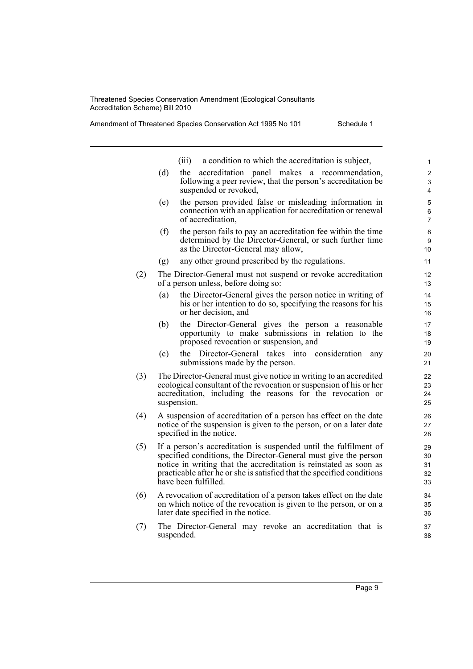|     |     | a condition to which the accreditation is subject,<br>(iii)                                                                                                                                                                                                                                                | 1                          |
|-----|-----|------------------------------------------------------------------------------------------------------------------------------------------------------------------------------------------------------------------------------------------------------------------------------------------------------------|----------------------------|
|     | (d) | the<br>accreditation panel makes<br>a recommendation,<br>following a peer review, that the person's accreditation be<br>suspended or revoked,                                                                                                                                                              | 2<br>3<br>4                |
|     | (e) | the person provided false or misleading information in<br>connection with an application for accreditation or renewal<br>of accreditation,                                                                                                                                                                 | 5<br>6<br>$\overline{7}$   |
|     | (f) | the person fails to pay an accreditation fee within the time<br>determined by the Director-General, or such further time<br>as the Director-General may allow,                                                                                                                                             | 8<br>9<br>10               |
|     | (g) | any other ground prescribed by the regulations.                                                                                                                                                                                                                                                            | 11                         |
| (2) |     | The Director-General must not suspend or revoke accreditation<br>of a person unless, before doing so:                                                                                                                                                                                                      | 12<br>13                   |
|     | (a) | the Director-General gives the person notice in writing of<br>his or her intention to do so, specifying the reasons for his<br>or her decision, and                                                                                                                                                        | 14<br>15<br>16             |
|     | (b) | the Director-General gives the person a reasonable<br>opportunity to make submissions in relation to the<br>proposed revocation or suspension, and                                                                                                                                                         | 17<br>18<br>19             |
|     | (c) | the Director-General takes<br>into<br>consideration<br>any<br>submissions made by the person.                                                                                                                                                                                                              | 20<br>21                   |
| (3) |     | The Director-General must give notice in writing to an accredited<br>ecological consultant of the revocation or suspension of his or her<br>accreditation, including the reasons for the revocation or<br>suspension.                                                                                      | 22<br>23<br>24<br>25       |
| (4) |     | A suspension of accreditation of a person has effect on the date<br>notice of the suspension is given to the person, or on a later date<br>specified in the notice.                                                                                                                                        | 26<br>27<br>28             |
| (5) |     | If a person's accreditation is suspended until the fulfilment of<br>specified conditions, the Director-General must give the person<br>notice in writing that the accreditation is reinstated as soon as<br>practicable after he or she is satisfied that the specified conditions<br>have been fulfilled. | 29<br>30<br>31<br>32<br>33 |
| (6) |     | A revocation of accreditation of a person takes effect on the date<br>on which notice of the revocation is given to the person, or on a<br>later date specified in the notice.                                                                                                                             | 34<br>35<br>36             |
| (7) |     | The Director-General may revoke an accreditation that is<br>suspended.                                                                                                                                                                                                                                     | 37<br>38                   |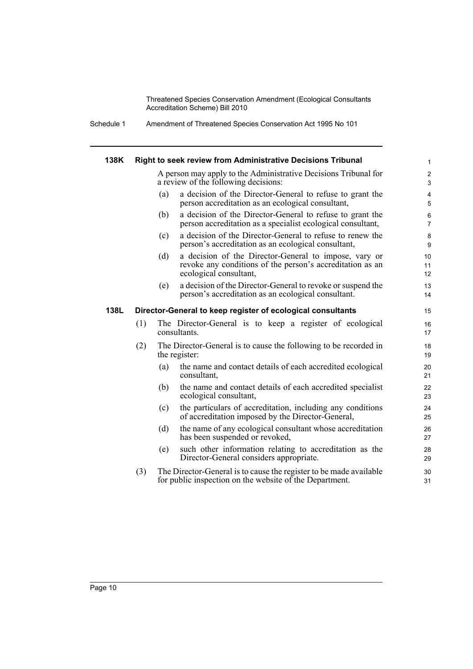Schedule 1 Amendment of Threatened Species Conservation Act 1995 No 101

| 138K |     | Right to seek review from Administrative Decisions Tribunal                                                                                         | $\mathbf{1}$                 |
|------|-----|-----------------------------------------------------------------------------------------------------------------------------------------------------|------------------------------|
|      |     | A person may apply to the Administrative Decisions Tribunal for<br>a review of the following decisions:                                             | $\overline{\mathbf{c}}$<br>3 |
|      |     | a decision of the Director-General to refuse to grant the<br>(a)<br>person accreditation as an ecological consultant,                               | $\overline{4}$<br>5          |
|      |     | a decision of the Director-General to refuse to grant the<br>(b)<br>person accreditation as a specialist ecological consultant,                     | 6<br>$\overline{7}$          |
|      |     | a decision of the Director-General to refuse to renew the<br>(c)<br>person's accreditation as an ecological consultant,                             | 8<br>9                       |
|      |     | (d)<br>a decision of the Director-General to impose, vary or<br>revoke any conditions of the person's accreditation as an<br>ecological consultant, | 10<br>11<br>12               |
|      |     | (e)<br>a decision of the Director-General to revoke or suspend the<br>person's accreditation as an ecological consultant.                           | 13<br>14                     |
| 138L |     | Director-General to keep register of ecological consultants                                                                                         | 15                           |
|      | (1) | The Director-General is to keep a register of ecological<br>consultants.                                                                            | 16<br>17                     |
|      | (2) | The Director-General is to cause the following to be recorded in<br>the register:                                                                   | 18<br>19                     |
|      |     | the name and contact details of each accredited ecological<br>(a)<br>consultant,                                                                    | 20<br>21                     |
|      |     | (b)<br>the name and contact details of each accredited specialist<br>ecological consultant,                                                         | 22<br>23                     |
|      |     | the particulars of accreditation, including any conditions<br>(c)<br>of accreditation imposed by the Director-General,                              | 24<br>25                     |
|      |     | the name of any ecological consultant whose accreditation<br>(d)<br>has been suspended or revoked,                                                  | 26<br>27                     |
|      |     | such other information relating to accreditation as the<br>(e)<br>Director-General considers appropriate.                                           | 28<br>29                     |
|      | (3) | The Director-General is to cause the register to be made available<br>for public inspection on the website of the Department.                       | 30<br>31                     |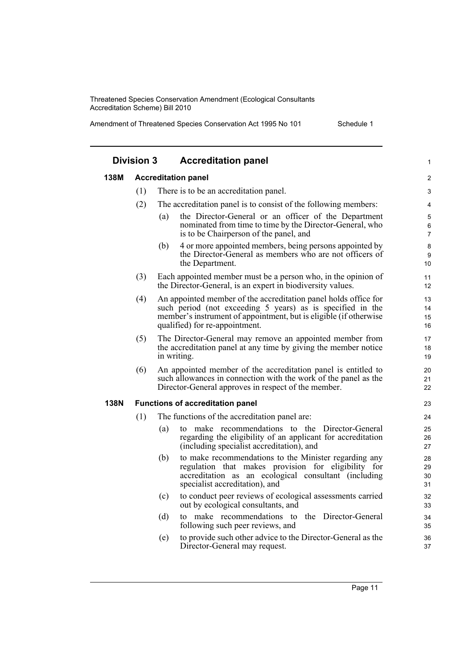|             | <b>Division 3</b> | <b>Accreditation panel</b>                                                                                                                                                                                                           | $\mathbf{1}$         |
|-------------|-------------------|--------------------------------------------------------------------------------------------------------------------------------------------------------------------------------------------------------------------------------------|----------------------|
| 138M        |                   | <b>Accreditation panel</b>                                                                                                                                                                                                           | 2                    |
|             | (1)               | There is to be an accreditation panel.                                                                                                                                                                                               | 3                    |
|             | (2)               | The accreditation panel is to consist of the following members:                                                                                                                                                                      | 4                    |
|             |                   | the Director-General or an officer of the Department<br>(a)<br>nominated from time to time by the Director-General, who<br>is to be Chairperson of the panel, and                                                                    | 5<br>6<br>7          |
|             |                   | 4 or more appointed members, being persons appointed by<br>(b)<br>the Director-General as members who are not officers of<br>the Department.                                                                                         | 8<br>9<br>10         |
|             | (3)               | Each appointed member must be a person who, in the opinion of<br>the Director-General, is an expert in biodiversity values.                                                                                                          | 11<br>12             |
|             | (4)               | An appointed member of the accreditation panel holds office for<br>such period (not exceeding 5 years) as is specified in the<br>member's instrument of appointment, but is eligible (if otherwise<br>qualified) for re-appointment. | 13<br>14<br>15<br>16 |
|             | (5)               | The Director-General may remove an appointed member from<br>the accreditation panel at any time by giving the member notice<br>in writing.                                                                                           | 17<br>18<br>19       |
|             | (6)               | An appointed member of the accreditation panel is entitled to<br>such allowances in connection with the work of the panel as the<br>Director-General approves in respect of the member.                                              | 20<br>21<br>22       |
| <b>138N</b> |                   | <b>Functions of accreditation panel</b>                                                                                                                                                                                              | 23                   |
|             | (1)               | The functions of the accreditation panel are:                                                                                                                                                                                        | 24                   |
|             |                   | to make recommendations to the Director-General<br>(a)<br>regarding the eligibility of an applicant for accreditation<br>(including specialist accreditation), and                                                                   | 25<br>26<br>27       |
|             |                   | to make recommendations to the Minister regarding any<br>(b)<br>regulation that makes provision for eligibility for<br>accreditation as an ecological consultant (including<br>specialist accreditation), and                        | 28<br>29<br>30<br>31 |
|             |                   | to conduct peer reviews of ecological assessments carried<br>(c)<br>out by ecological consultants, and                                                                                                                               | 32<br>33             |
|             |                   | to make recommendations to the Director-General<br>(d)<br>following such peer reviews, and                                                                                                                                           | 34<br>35             |
|             |                   | to provide such other advice to the Director-General as the<br>(e)<br>Director-General may request.                                                                                                                                  | 36<br>37             |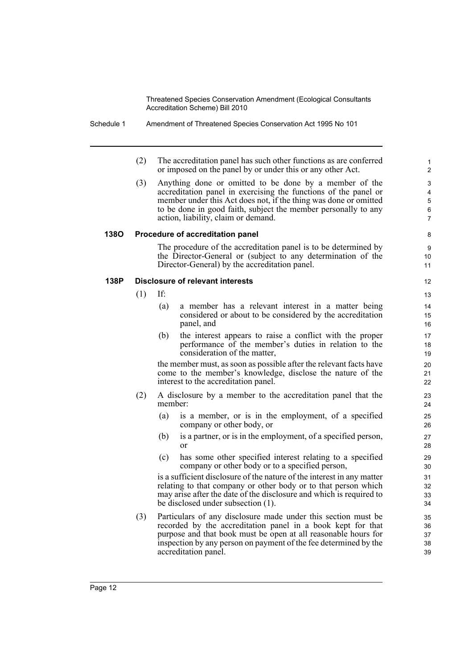Schedule 1 Amendment of Threatened Species Conservation Act 1995 No 101

(2) The accreditation panel has such other functions as are conferred or imposed on the panel by or under this or any other Act.

(3) Anything done or omitted to be done by a member of the accreditation panel in exercising the functions of the panel or member under this Act does not, if the thing was done or omitted to be done in good faith, subject the member personally to any action, liability, claim or demand.

#### **138O Procedure of accreditation panel**

The procedure of the accreditation panel is to be determined by the Director-General or (subject to any determination of the Director-General) by the accreditation panel.

#### **138P Disclosure of relevant interests**

(1) If:

- (a) a member has a relevant interest in a matter being considered or about to be considered by the accreditation panel, and
- (b) the interest appears to raise a conflict with the proper performance of the member's duties in relation to the consideration of the matter,

the member must, as soon as possible after the relevant facts have come to the member's knowledge, disclose the nature of the interest to the accreditation panel.

- (2) A disclosure by a member to the accreditation panel that the member:
	- (a) is a member, or is in the employment, of a specified company or other body, or
	- (b) is a partner, or is in the employment, of a specified person, or
	- (c) has some other specified interest relating to a specified company or other body or to a specified person,

is a sufficient disclosure of the nature of the interest in any matter relating to that company or other body or to that person which may arise after the date of the disclosure and which is required to be disclosed under subsection (1).

(3) Particulars of any disclosure made under this section must be recorded by the accreditation panel in a book kept for that purpose and that book must be open at all reasonable hours for inspection by any person on payment of the fee determined by the accreditation panel.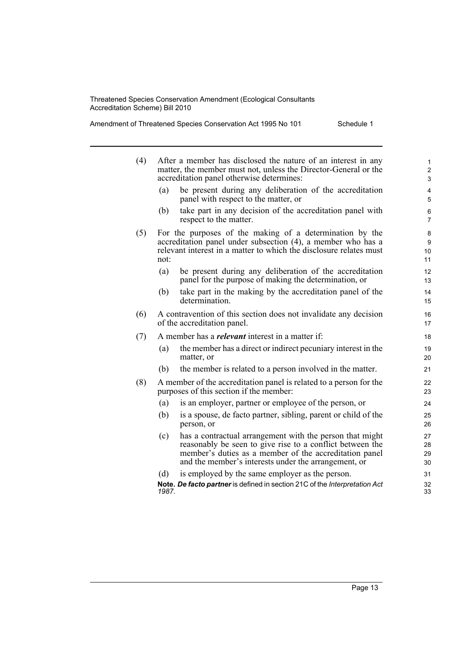| (4) |                                                                                                                                                                                                        | After a member has disclosed the nature of an interest in any<br>matter, the member must not, unless the Director-General or the<br>accreditation panel otherwise determines:                                                           | 1<br>$\overline{\mathbf{c}}$<br>3 |  |  |  |
|-----|--------------------------------------------------------------------------------------------------------------------------------------------------------------------------------------------------------|-----------------------------------------------------------------------------------------------------------------------------------------------------------------------------------------------------------------------------------------|-----------------------------------|--|--|--|
|     | (a)                                                                                                                                                                                                    | be present during any deliberation of the accreditation<br>panel with respect to the matter, or                                                                                                                                         | 4<br>5                            |  |  |  |
|     | (b)                                                                                                                                                                                                    | take part in any decision of the accreditation panel with<br>respect to the matter.                                                                                                                                                     | 6<br>$\overline{7}$               |  |  |  |
| (5) | For the purposes of the making of a determination by the<br>accreditation panel under subsection (4), a member who has a<br>relevant interest in a matter to which the disclosure relates must<br>not: | 8<br>9<br>10<br>11                                                                                                                                                                                                                      |                                   |  |  |  |
|     | (a)                                                                                                                                                                                                    | be present during any deliberation of the accreditation<br>panel for the purpose of making the determination, or                                                                                                                        | 12<br>13                          |  |  |  |
|     | (b)                                                                                                                                                                                                    | take part in the making by the accreditation panel of the<br>determination.                                                                                                                                                             | 14<br>15                          |  |  |  |
| (6) |                                                                                                                                                                                                        | A contravention of this section does not invalidate any decision<br>of the accreditation panel.                                                                                                                                         | 16<br>17                          |  |  |  |
| (7) | A member has a <i>relevant</i> interest in a matter if:                                                                                                                                                |                                                                                                                                                                                                                                         |                                   |  |  |  |
|     | (a)                                                                                                                                                                                                    | the member has a direct or indirect pecuniary interest in the<br>matter, or                                                                                                                                                             | 19<br>20                          |  |  |  |
|     | (b)                                                                                                                                                                                                    | the member is related to a person involved in the matter.                                                                                                                                                                               | 21                                |  |  |  |
| (8) |                                                                                                                                                                                                        | A member of the accreditation panel is related to a person for the<br>purposes of this section if the member:                                                                                                                           | 22<br>23                          |  |  |  |
|     | (a)                                                                                                                                                                                                    | is an employer, partner or employee of the person, or                                                                                                                                                                                   | 24                                |  |  |  |
|     | (b)                                                                                                                                                                                                    | is a spouse, de facto partner, sibling, parent or child of the<br>person, or                                                                                                                                                            | 25<br>26                          |  |  |  |
|     | (c)                                                                                                                                                                                                    | has a contractual arrangement with the person that might<br>reasonably be seen to give rise to a conflict between the<br>member's duties as a member of the accreditation panel<br>and the member's interests under the arrangement, or | 27<br>28<br>29<br>30              |  |  |  |
|     | (d)                                                                                                                                                                                                    | is employed by the same employer as the person.                                                                                                                                                                                         | 31                                |  |  |  |
|     | 1987.                                                                                                                                                                                                  | Note. De facto partner is defined in section 21C of the Interpretation Act                                                                                                                                                              | 32<br>33                          |  |  |  |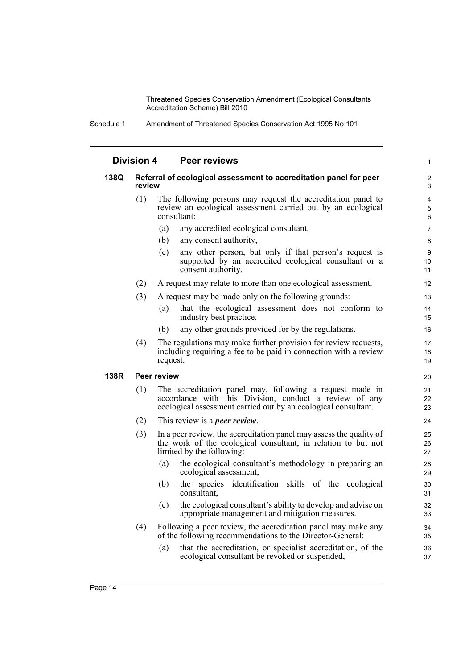Schedule 1 Amendment of Threatened Species Conservation Act 1995 No 101

|      | <b>Division 4</b> | <b>Peer reviews</b>                                                                                                                                                                  | 1                        |
|------|-------------------|--------------------------------------------------------------------------------------------------------------------------------------------------------------------------------------|--------------------------|
| 138Q | review            | Referral of ecological assessment to accreditation panel for peer                                                                                                                    | 2<br>3                   |
|      | (1)               | The following persons may request the accreditation panel to<br>review an ecological assessment carried out by an ecological<br>consultant:                                          | $\overline{4}$<br>5<br>6 |
|      |                   | (a)<br>any accredited ecological consultant,                                                                                                                                         | 7                        |
|      |                   | (b)<br>any consent authority,                                                                                                                                                        | 8                        |
|      |                   | any other person, but only if that person's request is<br>(c)<br>supported by an accredited ecological consultant or a<br>consent authority.                                         | 9<br>10<br>11            |
|      | (2)               | A request may relate to more than one ecological assessment.                                                                                                                         | 12                       |
|      | (3)               | A request may be made only on the following grounds:                                                                                                                                 | 13                       |
|      |                   | that the ecological assessment does not conform to<br>(a)<br>industry best practice,                                                                                                 | 14<br>15                 |
|      |                   | any other grounds provided for by the regulations.<br>(b)                                                                                                                            | 16                       |
|      | (4)               | The regulations may make further provision for review requests,<br>including requiring a fee to be paid in connection with a review<br>request.                                      | 17<br>18<br>19           |
| 138R |                   | <b>Peer review</b>                                                                                                                                                                   | 20                       |
|      | (1)               | The accreditation panel may, following a request made in<br>accordance with this Division, conduct a review of any<br>ecological assessment carried out by an ecological consultant. | 21<br>22<br>23           |
|      | (2)               | This review is a <i>peer review</i> .                                                                                                                                                | 24                       |
|      | (3)               | In a peer review, the accreditation panel may assess the quality of<br>the work of the ecological consultant, in relation to but not<br>limited by the following:                    | 25<br>26<br>27           |
|      |                   | the ecological consultant's methodology in preparing an<br>(a)<br>ecological assessment,                                                                                             | 28<br>29                 |
|      |                   | the species identification skills of the ecological<br>(b)<br>consultant,                                                                                                            | 30<br>31                 |
|      |                   | the ecological consultant's ability to develop and advise on<br>(c)<br>appropriate management and mitigation measures.                                                               | 32<br>33                 |
|      | (4)               | Following a peer review, the accreditation panel may make any<br>of the following recommendations to the Director-General:                                                           | 34<br>35                 |
|      |                   | that the accreditation, or specialist accreditation, of the<br>(a)<br>ecological consultant be revoked or suspended,                                                                 | 36<br>37                 |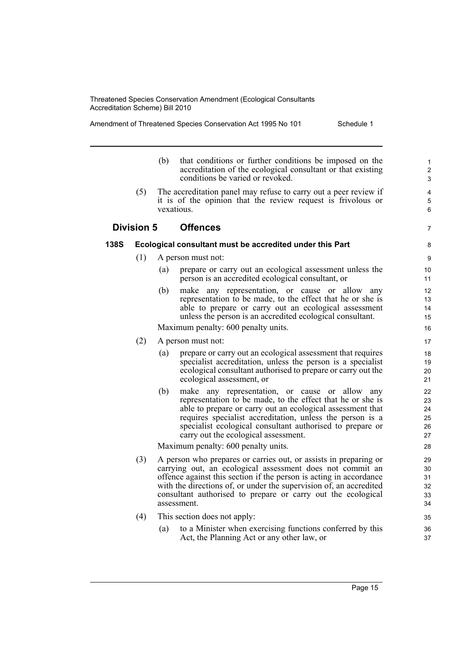Amendment of Threatened Species Conservation Act 1995 No 101 Schedule 1

- (b) that conditions or further conditions be imposed on the accreditation of the ecological consultant or that existing conditions be varied or revoked.
- (5) The accreditation panel may refuse to carry out a peer review if it is of the opinion that the review request is frivolous or vexatious.

## **Division 5 Offences**

#### **138S Ecological consultant must be accredited under this Part**

- (1) A person must not:
	- (a) prepare or carry out an ecological assessment unless the person is an accredited ecological consultant, or
	- (b) make any representation, or cause or allow any representation to be made, to the effect that he or she is able to prepare or carry out an ecological assessment unless the person is an accredited ecological consultant.

Maximum penalty: 600 penalty units.

- (2) A person must not:
	- (a) prepare or carry out an ecological assessment that requires specialist accreditation, unless the person is a specialist ecological consultant authorised to prepare or carry out the ecological assessment, or
	- (b) make any representation, or cause or allow any representation to be made, to the effect that he or she is able to prepare or carry out an ecological assessment that requires specialist accreditation, unless the person is a specialist ecological consultant authorised to prepare or carry out the ecological assessment.

Maximum penalty: 600 penalty units.

- (3) A person who prepares or carries out, or assists in preparing or carrying out, an ecological assessment does not commit an offence against this section if the person is acting in accordance with the directions of, or under the supervision of, an accredited consultant authorised to prepare or carry out the ecological assessment.
- (4) This section does not apply:
	- (a) to a Minister when exercising functions conferred by this Act, the Planning Act or any other law, or

7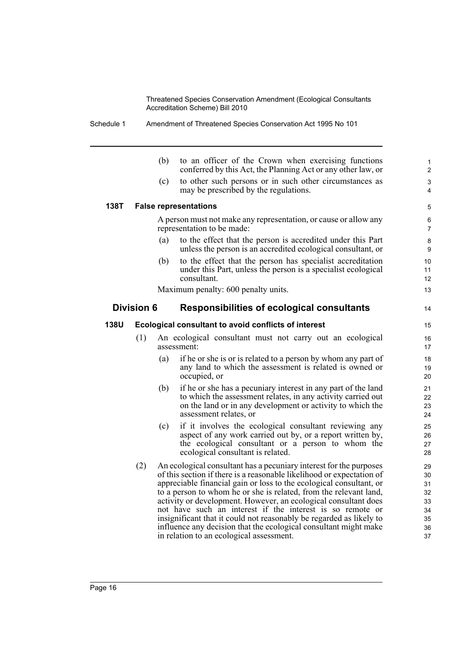Schedule 1 Amendment of Threatened Species Conservation Act 1995 No 101

|      |                   | (b) | to an officer of the Crown when exercising functions<br>conferred by this Act, the Planning Act or any other law, or                                                                                                                                                                                                                                                                                                                                                                                                                                                                                           | $\mathbf{1}$<br>$\overline{c}$                     |
|------|-------------------|-----|----------------------------------------------------------------------------------------------------------------------------------------------------------------------------------------------------------------------------------------------------------------------------------------------------------------------------------------------------------------------------------------------------------------------------------------------------------------------------------------------------------------------------------------------------------------------------------------------------------------|----------------------------------------------------|
|      |                   | (c) | to other such persons or in such other circumstances as<br>may be prescribed by the regulations.                                                                                                                                                                                                                                                                                                                                                                                                                                                                                                               | 3<br>4                                             |
| 138T |                   |     | <b>False representations</b>                                                                                                                                                                                                                                                                                                                                                                                                                                                                                                                                                                                   | 5                                                  |
|      |                   |     | A person must not make any representation, or cause or allow any<br>representation to be made:                                                                                                                                                                                                                                                                                                                                                                                                                                                                                                                 | 6<br>$\overline{7}$                                |
|      |                   | (a) | to the effect that the person is accredited under this Part<br>unless the person is an accredited ecological consultant, or                                                                                                                                                                                                                                                                                                                                                                                                                                                                                    | 8<br>9                                             |
|      |                   | (b) | to the effect that the person has specialist accreditation<br>under this Part, unless the person is a specialist ecological<br>consultant.                                                                                                                                                                                                                                                                                                                                                                                                                                                                     | 10<br>11<br>12 <sup>2</sup>                        |
|      |                   |     | Maximum penalty: 600 penalty units.                                                                                                                                                                                                                                                                                                                                                                                                                                                                                                                                                                            | 13                                                 |
|      | <b>Division 6</b> |     | <b>Responsibilities of ecological consultants</b>                                                                                                                                                                                                                                                                                                                                                                                                                                                                                                                                                              | 14                                                 |
| 138U |                   |     | Ecological consultant to avoid conflicts of interest                                                                                                                                                                                                                                                                                                                                                                                                                                                                                                                                                           | 15                                                 |
|      | (1)               |     | An ecological consultant must not carry out an ecological<br>assessment:                                                                                                                                                                                                                                                                                                                                                                                                                                                                                                                                       | 16<br>17                                           |
|      |                   | (a) | if he or she is or is related to a person by whom any part of<br>any land to which the assessment is related is owned or<br>occupied, or                                                                                                                                                                                                                                                                                                                                                                                                                                                                       | 18<br>19<br>20                                     |
|      |                   | (b) | if he or she has a pecuniary interest in any part of the land<br>to which the assessment relates, in any activity carried out<br>on the land or in any development or activity to which the<br>assessment relates, or                                                                                                                                                                                                                                                                                                                                                                                          | 21<br>22<br>23<br>24                               |
|      |                   | (c) | if it involves the ecological consultant reviewing any<br>aspect of any work carried out by, or a report written by,<br>the ecological consultant or a person to whom the<br>ecological consultant is related.                                                                                                                                                                                                                                                                                                                                                                                                 | 25<br>26<br>27<br>28                               |
|      | (2)               |     | An ecological consultant has a pecuniary interest for the purposes<br>of this section if there is a reasonable likelihood or expectation of<br>appreciable financial gain or loss to the ecological consultant, or<br>to a person to whom he or she is related, from the relevant land,<br>activity or development. However, an ecological consultant does<br>not have such an interest if the interest is so remote or<br>insignificant that it could not reasonably be regarded as likely to<br>influence any decision that the ecological consultant might make<br>in relation to an ecological assessment. | 29<br>30<br>31<br>32<br>33<br>34<br>35<br>36<br>37 |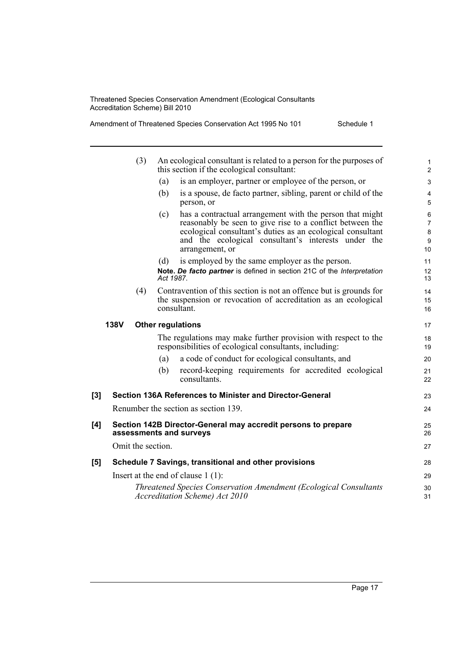|     |             | (3)               |           | An ecological consultant is related to a person for the purposes of<br>this section if the ecological consultant:                                                                                                                                             | $\mathbf{1}$<br>$\overline{2}$            |
|-----|-------------|-------------------|-----------|---------------------------------------------------------------------------------------------------------------------------------------------------------------------------------------------------------------------------------------------------------------|-------------------------------------------|
|     |             |                   | (a)       | is an employer, partner or employee of the person, or                                                                                                                                                                                                         | 3                                         |
|     |             |                   | (b)       | is a spouse, de facto partner, sibling, parent or child of the<br>person, or                                                                                                                                                                                  | $\overline{\mathbf{4}}$<br>5              |
|     |             |                   | (c)       | has a contractual arrangement with the person that might<br>reasonably be seen to give rise to a conflict between the<br>ecological consultant's duties as an ecological consultant<br>and the ecological consultant's interests under the<br>arrangement, or | 6<br>$\overline{7}$<br>$\bf 8$<br>9<br>10 |
|     |             |                   | (d)       | is employed by the same employer as the person.                                                                                                                                                                                                               | 11                                        |
|     |             |                   | Act 1987. | Note. De facto partner is defined in section 21C of the Interpretation                                                                                                                                                                                        | 12<br>13                                  |
|     |             | (4)               |           | Contravention of this section is not an offence but is grounds for                                                                                                                                                                                            | 14                                        |
|     |             |                   |           | the suspension or revocation of accreditation as an ecological<br>consultant.                                                                                                                                                                                 | 15                                        |
|     |             |                   |           |                                                                                                                                                                                                                                                               | 16                                        |
|     | <b>138V</b> |                   |           | <b>Other regulations</b>                                                                                                                                                                                                                                      | 17                                        |
|     |             |                   |           | The regulations may make further provision with respect to the<br>responsibilities of ecological consultants, including:                                                                                                                                      | 18<br>19                                  |
|     |             |                   | (a)       | a code of conduct for ecological consultants, and                                                                                                                                                                                                             | 20                                        |
|     |             |                   | (b)       | record-keeping requirements for accredited ecological<br>consultants.                                                                                                                                                                                         | 21<br>22                                  |
| [3] |             |                   |           | Section 136A References to Minister and Director-General                                                                                                                                                                                                      | 23                                        |
|     |             |                   |           | Renumber the section as section 139.                                                                                                                                                                                                                          | 24                                        |
| [4] |             |                   |           | Section 142B Director-General may accredit persons to prepare                                                                                                                                                                                                 | 25                                        |
|     |             |                   |           | assessments and surveys                                                                                                                                                                                                                                       | 26                                        |
|     |             | Omit the section. |           |                                                                                                                                                                                                                                                               | 27                                        |
| [5] |             |                   |           | Schedule 7 Savings, transitional and other provisions                                                                                                                                                                                                         | 28                                        |
|     |             |                   |           | Insert at the end of clause $1(1)$ :                                                                                                                                                                                                                          | 29                                        |
|     |             |                   |           | Threatened Species Conservation Amendment (Ecological Consultants<br>Accreditation Scheme) Act 2010                                                                                                                                                           | 30<br>31                                  |
|     |             |                   |           |                                                                                                                                                                                                                                                               |                                           |